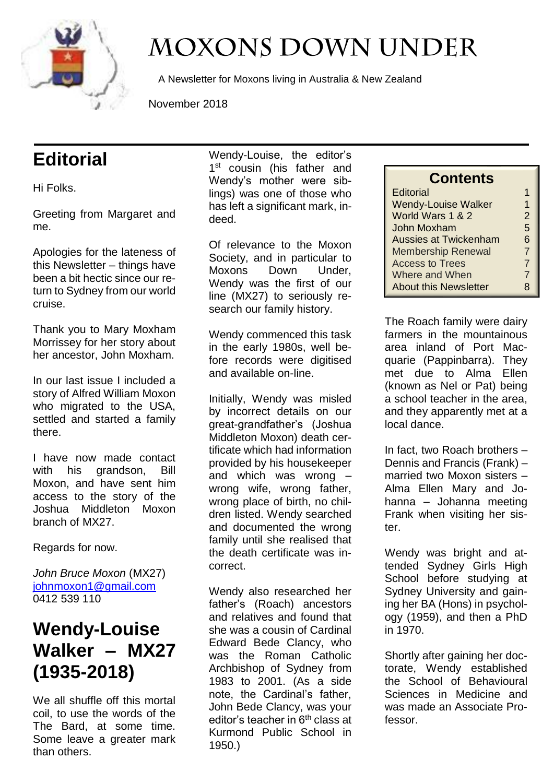

# **MOXONS DOWN UNDER**

A Newsletter for Moxons living in Australia & New Zealand

November 2018

# **Editorial**

Hi Folks.

Greeting from Margaret and me.

Apologies for the lateness of this Newsletter – things have been a bit hectic since our return to Sydney from our world cruise.

Thank you to Mary Moxham Morrissey for her story about her ancestor, John Moxham.

In our last issue I included a story of Alfred William Moxon who migrated to the USA, settled and started a family there.

I have now made contact with his grandson, Bill Moxon, and have sent him access to the story of the Joshua Middleton Moxon branch of MX27.

Regards for now.

*John Bruce Moxon* (MX27) [johnmoxon1@gmail.com](mailto:johnmoxon1@gmail.com) 0412 539 110

## **Wendy-Louise Walker – MX27 (1935-2018)**

We all shuffle off this mortal coil, to use the words of the The Bard, at some time. Some leave a greater mark than others.

Wendy-Louise, the editor's 1<sup>st</sup> cousin (his father and Wendy's mother were siblings) was one of those who has left a significant mark, indeed.

Of relevance to the Moxon Society, and in particular to Moxons Down Under, Wendy was the first of our line (MX27) to seriously research our family history.

Wendy commenced this task in the early 1980s, well before records were digitised and available on-line.

Initially, Wendy was misled by incorrect details on our great-grandfather's (Joshua Middleton Moxon) death certificate which had information provided by his housekeeper and which was wrong – wrong wife, wrong father, wrong place of birth, no children listed. Wendy searched and documented the wrong family until she realised that the death certificate was incorrect.

Wendy also researched her father's (Roach) ancestors and relatives and found that she was a cousin of Cardinal Edward Bede Clancy, who was the Roman Catholic Archbishop of Sydney from 1983 to 2001. (As a side note, the Cardinal's father, John Bede Clancy, was your editor's teacher in 6<sup>th</sup> class at Kurmond Public School in 1950.)

| <b>Contents</b> |
|-----------------|
|                 |

| Editorial                    |   |
|------------------------------|---|
| <b>Wendy-Louise Walker</b>   | 1 |
| World Wars 1 & 2             | 2 |
| John Moxham                  | 5 |
| <b>Aussies at Twickenham</b> | 6 |
| <b>Membership Renewal</b>    | 7 |
| <b>Access to Trees</b>       | 7 |
| Where and When               | 7 |
| <b>About this Newsletter</b> | 8 |

The Roach family were dairy farmers in the mountainous area inland of Port Macquarie (Pappinbarra). They met due to Alma Ellen (known as Nel or Pat) being a school teacher in the area, and they apparently met at a local dance.

In fact, two Roach brothers – Dennis and Francis (Frank) – married two Moxon sisters – Alma Ellen Mary and Johanna – Johanna meeting Frank when visiting her sister.

Wendy was bright and attended Sydney Girls High School before studying at Sydney University and gaining her BA (Hons) in psychology (1959), and then a PhD in 1970.

Shortly after gaining her doctorate, Wendy established the School of Behavioural Sciences in Medicine and was made an Associate Professor.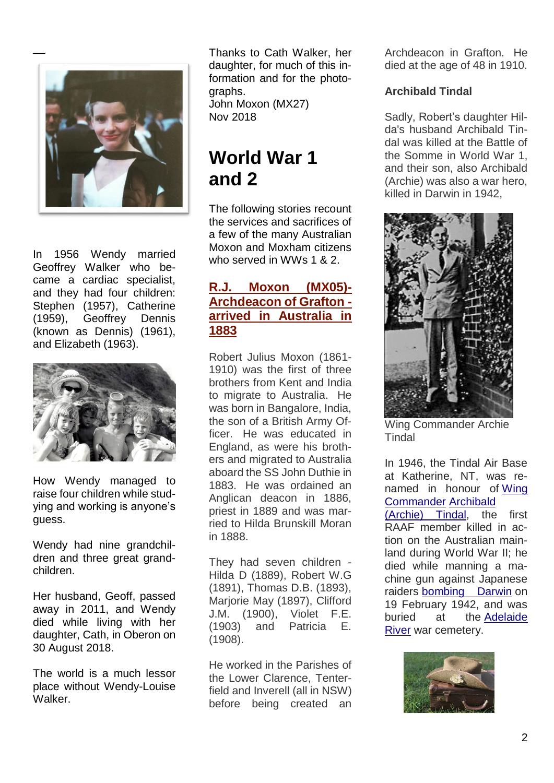

In 1956 Wendy married Geoffrey Walker who became a cardiac specialist, and they had four children: Stephen (1957), Catherine (1959), Geoffrey Dennis (known as Dennis) (1961), and Elizabeth (1963).



How Wendy managed to raise four children while studying and working is anyone's guess.

Wendy had nine grandchildren and three great grandchildren.

Her husband, Geoff, passed away in 2011, and Wendy died while living with her daughter, Cath, in Oberon on 30 August 2018.

The world is a much lessor place without Wendy-Louise Walker.

Thanks to Cath Walker, her daughter, for much of this information and for the photographs.

John Moxon (MX27) Nov 2018

## **World War 1 and 2**

The following stories recount the services and sacrifices of a few of the many Australian Moxon and Moxham citizens who served in WWs 1 & 2.

#### **[R.J. Moxon \(MX05\)-](http://moxonsdownunder.blogspot.com/2012/09/rj-moxon-archdeacon-of-grafton-arrived.html) [Archdeacon of Grafton](http://moxonsdownunder.blogspot.com/2012/09/rj-moxon-archdeacon-of-grafton-arrived.html)  [arrived in Australia in](http://moxonsdownunder.blogspot.com/2012/09/rj-moxon-archdeacon-of-grafton-arrived.html)  [1883](http://moxonsdownunder.blogspot.com/2012/09/rj-moxon-archdeacon-of-grafton-arrived.html)**

Robert Julius Moxon (1861- 1910) was the first of three brothers from Kent and India to migrate to Australia. He was born in Bangalore, India, the son of a British Army Officer. He was educated in England, as were his brothers and migrated to Australia aboard the SS John Duthie in 1883. He was ordained an Anglican deacon in 1886, priest in 1889 and was married to Hilda Brunskill Moran in 1888.

They had seven children - Hilda D (1889), Robert W.G (1891), Thomas D.B. (1893), Marjorie May (1897), Clifford J.M. (1900), Violet F.E. (1903) and Patricia E. (1908).

He worked in the Parishes of the Lower Clarence, Tenterfield and Inverell (all in NSW) before being created an

Archdeacon in Grafton. He died at the age of 48 in 1910.

#### **Archibald Tindal**

Sadly, Robert's daughter Hilda's husband Archibald Tindal was killed at the Battle of the Somme in World War 1, and their son, also Archibald (Archie) was also a war hero, killed in Darwin in 1942,



Wing Commander Archie **Tindal** 

In 1946, the Tindal Air Base at Katherine, NT, was renamed in honour of [Wing](https://en.wikipedia.org/wiki/Wing_commander_(rank))  [Commander](https://en.wikipedia.org/wiki/Wing_commander_(rank)) [Archibald](https://en.wikipedia.org/wiki/Tyndall#Australian_Tindals)  [\(Archie\) Tindal,](https://en.wikipedia.org/wiki/Tyndall#Australian_Tindals) the first RAAF member killed in action on the Australian mainland during World War II; he died while manning a machine gun against Japanese raiders [bombing](https://en.wikipedia.org/wiki/Bombing_of_Darwin) Darwin on 19 February 1942, and was buried at the [Adelaide](https://en.wikipedia.org/wiki/Adelaide_River,_Northern_Territory)  [River](https://en.wikipedia.org/wiki/Adelaide_River,_Northern_Territory) war cemetery.

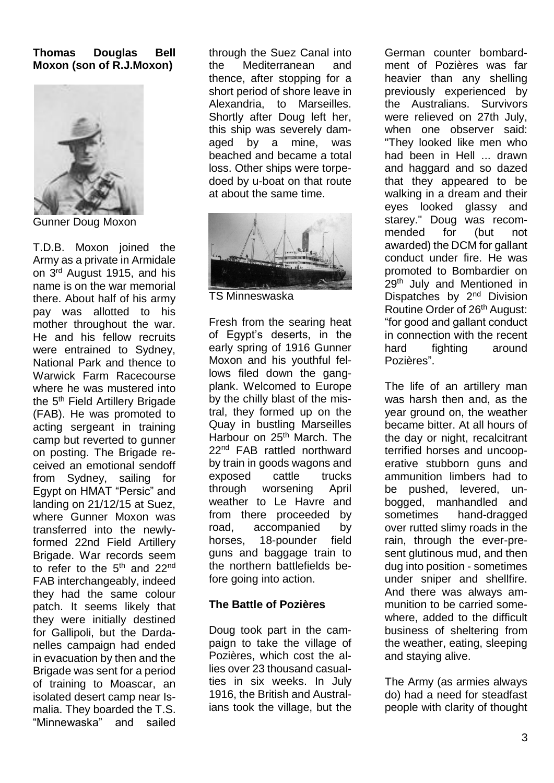#### **Thomas Douglas Bell Moxon (son of R.J.Moxon)**



Gunner Doug Moxon

T.D.B. Moxon joined the Army as a private in Armidale on 3rd August 1915, and his name is on the war memorial there. About half of his army pay was allotted to his mother throughout the war. He and his fellow recruits were entrained to Sydney, National Park and thence to Warwick Farm Racecourse where he was mustered into the 5<sup>th</sup> Field Artillery Brigade (FAB). He was promoted to acting sergeant in training camp but reverted to gunner on posting. The Brigade received an emotional sendoff from Sydney, sailing for Egypt on HMAT "Persic" and landing on 21/12/15 at Suez, where Gunner Moxon was transferred into the newlyformed 22nd Field Artillery Brigade. War records seem to refer to the 5<sup>th</sup> and 22<sup>nd</sup> FAB interchangeably, indeed they had the same colour patch. It seems likely that they were initially destined for Gallipoli, but the Dardanelles campaign had ended in evacuation by then and the Brigade was sent for a period of training to Moascar, an isolated desert camp near Ismalia. They boarded the T.S. "Minnewaska" and sailed

through the Suez Canal into the Mediterranean and thence, after stopping for a short period of shore leave in Alexandria, to Marseilles. Shortly after Doug left her, this ship was severely damaged by a mine, was beached and became a total loss. Other ships were torpedoed by u-boat on that route at about the same time.



TS Minneswaska

Fresh from the searing heat of Egypt's deserts, in the early spring of 1916 Gunner Moxon and his youthful fellows filed down the gangplank. Welcomed to Europe by the chilly blast of the mistral, they formed up on the Quay in bustling Marseilles Harbour on 25<sup>th</sup> March. The 22<sup>nd</sup> FAB rattled northward by train in goods wagons and exposed cattle trucks through worsening April weather to Le Havre and from there proceeded by road, accompanied by horses, 18-pounder field guns and baggage train to the northern battlefields before going into action.

#### **The Battle of Pozières**

Doug took part in the campaign to take the village of Pozières, which cost the allies over 23 thousand casualties in six weeks. In July 1916, the British and Australians took the village, but the German counter bombardment of Pozières was far heavier than any shelling previously experienced by the Australians. Survivors were relieved on 27th July, when one observer said: "They looked like men who had been in Hell ... drawn and haggard and so dazed that they appeared to be walking in a dream and their eyes looked glassy and starey." Doug was recommended for (but not awarded) the DCM for gallant conduct under fire. He was promoted to Bombardier on 29<sup>th</sup> July and Mentioned in Dispatches by 2<sup>nd</sup> Division Routine Order of 26<sup>th</sup> August: "for good and gallant conduct in connection with the recent hard fighting around Pozières".

The life of an artillery man was harsh then and, as the year ground on, the weather became bitter. At all hours of the day or night, recalcitrant terrified horses and uncooperative stubborn guns and ammunition limbers had to be pushed, levered, unbogged, manhandled and sometimes hand-dragged over rutted slimy roads in the rain, through the ever-present glutinous mud, and then dug into position - sometimes under sniper and shellfire. And there was always ammunition to be carried somewhere, added to the difficult business of sheltering from the weather, eating, sleeping and staying alive.

The Army (as armies always do) had a need for steadfast people with clarity of thought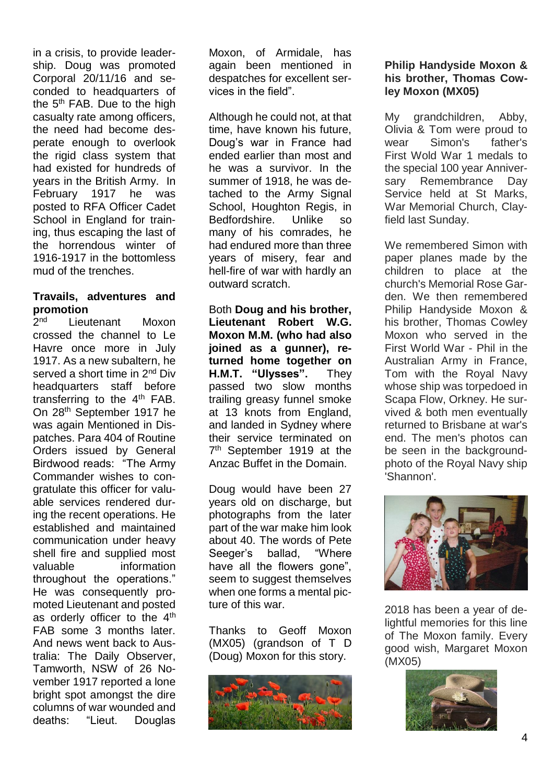in a crisis, to provide leadership. Doug was promoted Corporal 20/11/16 and seconded to headquarters of the 5<sup>th</sup> FAB. Due to the high casualty rate among officers, the need had become desperate enough to overlook the rigid class system that had existed for hundreds of years in the British Army. In February 1917 he was posted to RFA Officer Cadet School in England for training, thus escaping the last of the horrendous winter of 1916-1917 in the bottomless mud of the trenches.

#### **Travails, adventures and promotion**

 $2<sub>nd</sub>$ Lieutenant Moxon crossed the channel to Le Havre once more in July 1917. As a new subaltern, he served a short time in 2<sup>nd</sup> Div headquarters staff before transferring to the  $4<sup>th</sup>$  FAB. On 28th September 1917 he was again Mentioned in Dispatches. Para 404 of Routine Orders issued by General Birdwood reads: "The Army Commander wishes to congratulate this officer for valuable services rendered during the recent operations. He established and maintained communication under heavy shell fire and supplied most valuable information throughout the operations." He was consequently promoted Lieutenant and posted as orderly officer to the 4<sup>th</sup> FAB some 3 months later. And news went back to Australia: The Daily Observer, Tamworth, NSW of 26 November 1917 reported a lone bright spot amongst the dire columns of war wounded and deaths: "Lieut. Douglas

Moxon, of Armidale, has again been mentioned in despatches for excellent services in the field".

Although he could not, at that time, have known his future, Doug's war in France had ended earlier than most and he was a survivor. In the summer of 1918, he was detached to the Army Signal School, Houghton Regis, in Bedfordshire. Unlike so many of his comrades, he had endured more than three years of misery, fear and hell-fire of war with hardly an outward scratch.

Both **Doug and his brother, Lieutenant Robert W.G. Moxon M.M. (who had also joined as a gunner), returned home together on H.M.T. "Ulysses".** They passed two slow months trailing greasy funnel smoke at 13 knots from England, and landed in Sydney where their service terminated on 7<sup>th</sup> September 1919 at the Anzac Buffet in the Domain.

Doug would have been 27 years old on discharge, but photographs from the later part of the war make him look about 40. The words of Pete Seeger's ballad, "Where have all the flowers gone", seem to suggest themselves when one forms a mental picture of this war.

Thanks to Geoff Moxon (MX05) (grandson of T D (Doug) Moxon for this story.



#### **Philip Handyside Moxon & his brother, Thomas Cowley Moxon (MX05)**

My grandchildren, Abby, Olivia & Tom were proud to wear Simon's father's First Wold War 1 medals to the special 100 year Anniversary Remembrance Day Service held at St Marks, War Memorial Church, Clayfield last Sunday.

We remembered Simon with paper planes made by the children to place at the church's Memorial Rose Garden. We then remembered Philip Handyside Moxon & his brother, Thomas Cowley Moxon who served in the First World War - Phil in the Australian Army in France, Tom with the Royal Navy whose ship was torpedoed in Scapa Flow, Orkney. He survived & both men eventually returned to Brisbane at war's end. The men's photos can be seen in the backgroundphoto of the Royal Navy ship 'Shannon'.



2018 has been a year of delightful memories for this line of The Moxon family. Every good wish, Margaret Moxon (MX05)

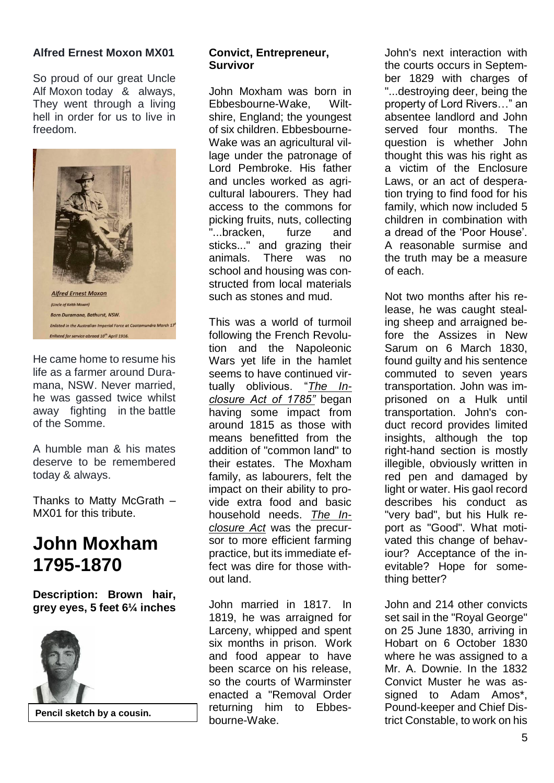#### **Alfred Ernest Moxon MX01**

So proud of our great Uncle Alf Moxon today & always, They went through a living hell in order for us to live in freedom.



He came home to resume his life as a farmer around Duramana, NSW. Never married, he was gassed twice whilst away fighting in the battle of the Somme.

A humble man & his mates deserve to be remembered today & always.

Thanks to Matty McGrath – MX01 for this tribute.

### **John Moxham 1795-1870**

**Description: Brown hair, grey eyes, 5 feet 6¼ inches**



#### **Convict, Entrepreneur, Survivor**

John Moxham was born in Ebbesbourne-Wake, Wiltshire, England; the youngest of six children. Ebbesbourne-Wake was an agricultural village under the patronage of Lord Pembroke. His father and uncles worked as agricultural labourers. They had access to the commons for picking fruits, nuts, collecting "...bracken, furze and sticks..." and grazing their animals. There was no school and housing was constructed from local materials such as stones and mud.

This was a world of turmoil following the French Revolution and the Napoleonic Wars yet life in the hamlet seems to have continued virtually oblivious. "*The Inclosure Act of 1785"* began having some impact from around 1815 as those with means benefitted from the addition of "common land" to their estates. The Moxham family, as labourers, felt the impact on their ability to provide extra food and basic household needs. *The Inclosure Act* was the precursor to more efficient farming practice, but its immediate effect was dire for those without land.

John married in 1817. In 1819, he was arraigned for Larceny, whipped and spent six months in prison. Work and food appear to have been scarce on his release, so the courts of Warminster enacted a "Removal Order returning him to Ebbesbourne-Wake. Pencil sketch by a cousin.<br> **Example Struct Constable, to work on his** bourne-Wake.<br> **Pencil sketch by a cousin.**<br>
bourne-Wake.<br> **Pourd-Reeper and Criter Dis-**

John's next interaction with the courts occurs in September 1829 with charges of "...destroying deer, being the property of Lord Rivers…" an absentee landlord and John served four months. The question is whether John thought this was his right as a victim of the Enclosure Laws, or an act of desperation trying to find food for his family, which now included 5 children in combination with a dread of the 'Poor House'. A reasonable surmise and the truth may be a measure of each.

Not two months after his release, he was caught stealing sheep and arraigned before the Assizes in New Sarum on 6 March 1830, found guilty and his sentence commuted to seven years transportation. John was imprisoned on a Hulk until transportation. John's conduct record provides limited insights, although the top right-hand section is mostly illegible, obviously written in red pen and damaged by light or water. His gaol record describes his conduct as "very bad", but his Hulk report as "Good". What motivated this change of behaviour? Acceptance of the inevitable? Hope for something better?

John and 214 other convicts set sail in the "Royal George" on 25 June 1830, arriving in Hobart on 6 October 1830 where he was assigned to a Mr. A. Downie. In the 1832 Convict Muster he was assigned to Adam Amos\*, Pound-keeper and Chief Dis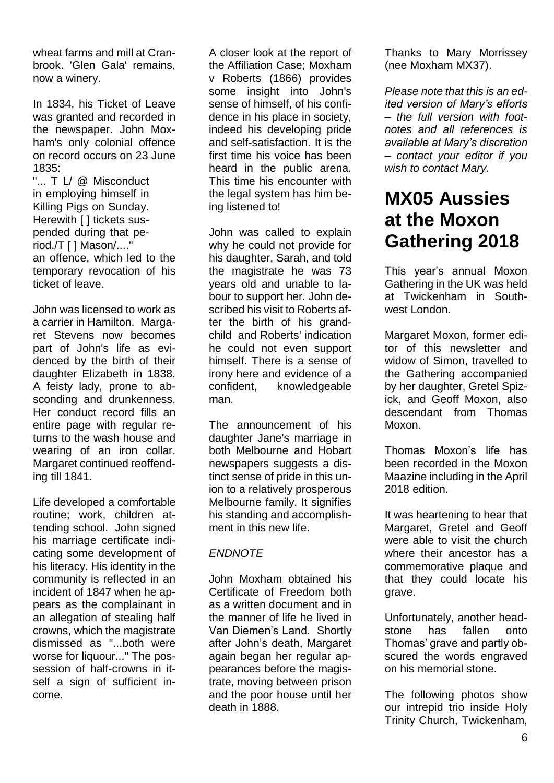wheat farms and mill at Cranbrook. 'Glen Gala' remains, now a winery.

In 1834, his Ticket of Leave was granted and recorded in the newspaper. John Moxham's only colonial offence on record occurs on 23 June 1835:

"... T I / @ Misconduct in employing himself in Killing Pigs on Sunday. Herewith [ ] tickets suspended during that period./T [ ] Mason/...." an offence, which led to the temporary revocation of his ticket of leave.

John was licensed to work as a carrier in Hamilton. Margaret Stevens now becomes part of John's life as evidenced by the birth of their daughter Elizabeth in 1838. A feisty lady, prone to absconding and drunkenness. Her conduct record fills an entire page with regular returns to the wash house and wearing of an iron collar. Margaret continued reoffending till 1841.

Life developed a comfortable routine; work, children attending school. John signed his marriage certificate indicating some development of his literacy. His identity in the community is reflected in an incident of 1847 when he appears as the complainant in an allegation of stealing half crowns, which the magistrate dismissed as "...both were worse for liquour..." The possession of half-crowns in itself a sign of sufficient income.

A closer look at the report of the Affiliation Case; Moxham v Roberts (1866) provides some insight into John's sense of himself, of his confidence in his place in society, indeed his developing pride and self-satisfaction. It is the first time his voice has been heard in the public arena. This time his encounter with the legal system has him being listened to!

John was called to explain why he could not provide for his daughter, Sarah, and told the magistrate he was 73 years old and unable to labour to support her. John described his visit to Roberts after the birth of his grandchild and Roberts' indication he could not even support himself. There is a sense of irony here and evidence of a confident, knowledgeable man.

The announcement of his daughter Jane's marriage in both Melbourne and Hobart newspapers suggests a distinct sense of pride in this union to a relatively prosperous Melbourne family. It signifies his standing and accomplishment in this new life.

#### *ENDNOTE*

John Moxham obtained his Certificate of Freedom both as a written document and in the manner of life he lived in Van Diemen's Land. Shortly after John's death, Margaret again began her regular appearances before the magistrate, moving between prison and the poor house until her death in 1888.

Thanks to Mary Morrissey (nee Moxham MX37).

*Please note that this is an edited version of Mary's efforts – the full version with footnotes and all references is available at Mary's discretion – contact your editor if you wish to contact Mary.*

### **MX05 Aussies at the Moxon Gathering 2018**

This year's annual Moxon Gathering in the UK was held at Twickenham in Southwest London.

Margaret Moxon, former editor of this newsletter and widow of Simon, travelled to the Gathering accompanied by her daughter, Gretel Spizick, and Geoff Moxon, also descendant from Thomas Moxon.

Thomas Moxon's life has been recorded in the Moxon Maazine including in the April 2018 edition.

It was heartening to hear that Margaret, Gretel and Geoff were able to visit the church where their ancestor has a commemorative plaque and that they could locate his grave.

Unfortunately, another headstone has fallen onto Thomas' grave and partly obscured the words engraved on his memorial stone.

The following photos show our intrepid trio inside Holy Trinity Church, Twickenham,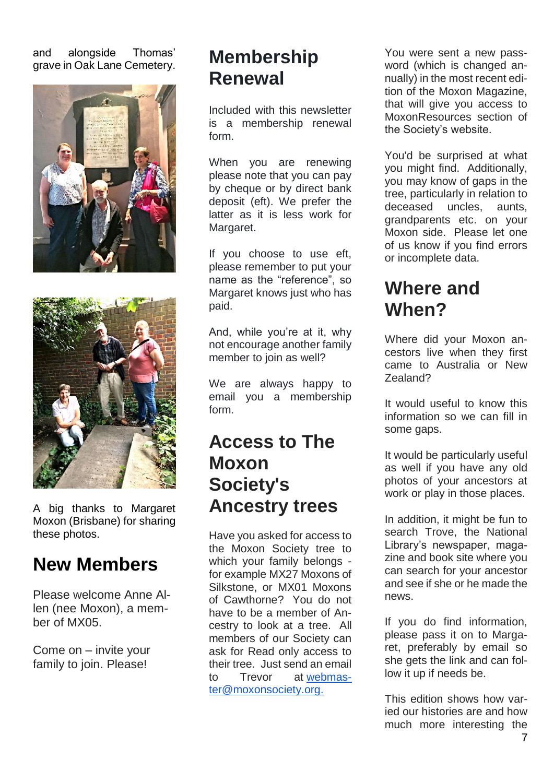and alongside Thomas' grave in Oak Lane Cemetery.





A big thanks to Margaret Moxon (Brisbane) for sharing these photos.

### **New Members**

Please welcome Anne Allen (nee Moxon), a member of MX05.

Come on – invite your family to join. Please!

### **Membership Renewal**

Included with this newsletter is a membership renewal form.

When you are renewing please note that you can pay by cheque or by direct bank deposit (eft). We prefer the latter as it is less work for Margaret.

If you choose to use eft, please remember to put your name as the "reference", so Margaret knows just who has paid.

And, while you're at it, why not encourage another family member to join as well?

We are always happy to email you a membership form.

### **Access to The Moxon Society's Ancestry trees**

Have you asked for access to the Moxon Society tree to which your family belongs for example MX27 Moxons of Silkstone, or MX01 Moxons of Cawthorne? You do not have to be a member of Ancestry to look at a tree. All members of our Society can ask for Read only access to their tree. Just send an email to Trevor at [webmas](mailto:webmaster@moxonsociety.org)[ter@moxonsociety.org.](mailto:webmaster@moxonsociety.org)

You were sent a new password (which is changed annually) in the most recent edition of the Moxon Magazine, that will give you access to MoxonResources section of the Society's website.

You'd be surprised at what you might find. Additionally, you may know of gaps in the tree, particularly in relation to deceased uncles, aunts, grandparents etc. on your Moxon side. Please let one of us know if you find errors or incomplete data.

### **Where and When?**

Where did your Moxon ancestors live when they first came to Australia or New Zealand?

It would useful to know this information so we can fill in some gaps.

It would be particularly useful as well if you have any old photos of your ancestors at work or play in those places.

In addition, it might be fun to search Trove, the National Library's newspaper, magazine and book site where you can search for your ancestor and see if she or he made the news.

If you do find information, please pass it on to Margaret, preferably by email so she gets the link and can follow it up if needs be.

This edition shows how varied our histories are and how much more interesting the